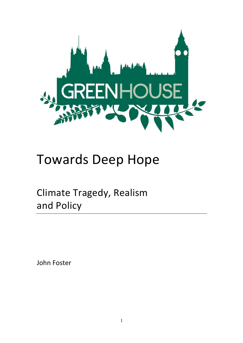

# Towards Deep Hope

Climate Tragedy, Realism and Policy

John Foster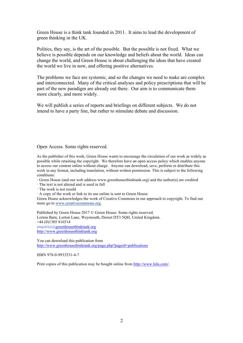Green House is a think tank founded in 2011. It aims to lead the development of green thinking in the UK.

Politics, they say, is the art of the possible. But the possible is not fixed. What we believe is possible depends on our knowledge and beliefs about the world. Ideas can change the world, and Green House is about challenging the ideas that have created the world we live in now, and offering positive alternatives.

The problems we face are systemic, and so the changes we need to make are complex and interconnected. Many of the critical analyses and policy prescriptions that will be part of the new paradigm are already out there. Our aim is to communicate them more clearly, and more widely.

We will publish a series of reports and briefings on different subjects. We do not intend to have a party line, but rather to stimulate debate and discussion.

Open Access. Some rights reserved.

As the publisher of this work, Green House wants to encourage the circulation of our work as widely as possible while retaining the copyright. We therefore have an open access policy which enables anyone to access our content online without charge. Anyone can download, save, perform or distribute this work in any format, including translation, without written permission. This is subject to the following conditions:

· Green House (and our web address www.greenhousethinktank.org) and the author(s) are credited

- · The text is not altered and is used in full
- · The work is not resold

· A copy of the work or link to its use online is sent to Green House.

Green House acknowledges the work of Creative Commons in our approach to copyright. To find out more go to www.creativecommons.org.

Published by Green House 2017 © Green House. Some rights reserved. Lorton Barn, Lorton Lane, Weymouth, Dorset DT3 5QH, United Kingdom. +44 (0)1305 816514 enquiries@greenhousethinktank.org http://www.greenhousethinktank.org

You can download this publication from http://www.greenhousethinktank.org/page.php?pageid=publications

ISBN 978-0-9933531-4-7

Print copies of this publication may be bought online from http://www.lulu.com/.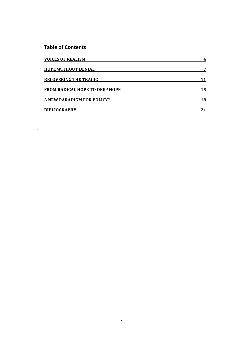#### **Table of Contents**

.

| <b>VOICES OF REALISM</b>              | 4  |
|---------------------------------------|----|
| <b>HOPE WITHOUT DENIAL</b>            | 7  |
| <b>RECOVERING THE TRAGIC</b>          | 11 |
| <b>FROM RADICAL HOPE TO DEEP HOPE</b> | 15 |
| A NEW PARADIGM FOR POLICY?            | 18 |
| <b>BIBLIOGRAPHY</b>                   |    |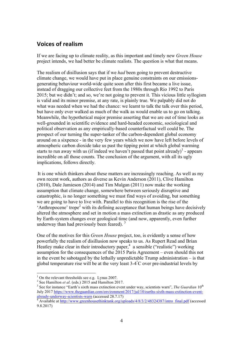#### **Voices of realism**

If we are facing up to climate reality, as this important and timely new *Green House* project intends, we had better be climate realists. The question is what that means.

The realism of disillusion says that if we *had* been going to prevent destructive climate change, we would have put in place genuine constraints on our emissionsgenerating behaviour world-wide quite soon after this first became a live issue, instead of dragging our collective feet from the 1980s through Rio 1992 to Paris 2015; but we didn't; and so, we're not going to prevent it. This vicious little syllogism is valid and its minor premise, at any rate, is plainly true. We palpably did not do what was needed when we had the chance: we learnt to talk the talk over this period, but have only ever walked as much of the walk as would enable us to go on talking. Meanwhile, the hypothetical major premise asserting that we are out of time looks as well-grounded in scientific evidence and hard-headed economic, sociological and political observation as any empirically-based counterfactual well could be. The prospect of our turning the super-tanker of the carbon-dependent global economy around on a sixpence - in the very few years which we now have left before levels of atmospheric carbon dioxide take us past the tipping point at which global warming starts to run away with us (if indeed we haven't passed that point already) $\,1$  - appears incredible on all those counts. The conclusion of the argument, with all its ugly implications, follows directly.

It is one which thinkers about these matters are increasingly reaching. As well as my own recent work, authors as diverse as Kevin Anderson (2011), Clive Hamilton (2010), Dale Jamieson (2014) and Tim Mulgan (2011) now make the working assumption that climate change, somewhere between seriously disruptive and catastrophic, is no longer something we must find ways of avoiding, but something we are going to have to live with. Parallel to this recognition is the rise of the 'Anthropocene' trope<sup>2</sup> with its defining acceptance that human beings have decisively altered the atmosphere and set in motion a mass extinction as drastic as any produced by Earth-system changes over geological time (and now, apparently, even further underway than had previously been feared).  $3$ 

One of the motives for this *Green House* project, too, is evidently a sense of how powerfully the realism of disillusion now speaks to us. As Rupert Read and Brian Heatley make clear in their introductory paper,  $4$  a sensible ("realistic") working assumption for the consequences of the 2015 Paris Agreement – even should this not in the event be sabotaged by the lethally unpredictable Trump administration – is that global temperature rise will be at the very least  $3-4^{\circ}$ C over pre-industrial levels by

<sup>&</sup>lt;sup>1</sup> On the relevant thresholds see e.g. Lynas 2007.<br><sup>2</sup> See Hamilton *et al.* (eds.) 2015 and Hamilton 2017.

<sup>&</sup>lt;sup>3</sup> See for instance "Earth's sixth mass extinction event under way, scientists warn", *The Guardian* 10<sup>th</sup> July 2017 https://www.theguardian.com/environment/2017/jul/10/earths-sixth-mass-extinction-event-<br>already-underway-scientists-warn (accessed 28.7.17)

 $\frac{4}{\sqrt{2}}$  Available at http://www.greenhousethinktank.org/uploads/4/8/3/2/48324387/intro\_final.pdf (accessed 9.8.2017)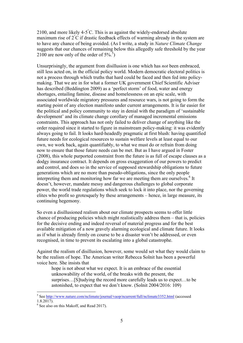2100, and more likely 4-5° C. This is as against the widely-endorsed absolute maximum rise of 2° C if drastic feedback effects of warming already in the system are to have any chance of being avoided. (As I write, a study in *Nature Climate Change* suggests that our chances of remaining below this allegedly safe threshold by the year 2100 are now only of the order of  $5\%$ <sup>5</sup>)

Unsurprisingly, the argument from disillusion is one which has *not* been embraced, still less acted on, in the official policy world. Modern democratic electoral politics is not a process through which truths that hard could be faced and then fed into policymaking. That we are in for what a former UK government Chief Scientific Adviser has described (Beddington 2009) as a 'perfect storm' of food, water and energy shortages, entailing famine, disease and homelessness on an epic scale, with associated worldwide migratory pressures and resource wars, is not going to form the starting point of any election manifesto under current arrangements. It is far easier for the political and policy community to stay in denial with the paradigm of 'sustainable development' and its climate change corollary of managed incremental emissions constraints. This approach has not only failed to deliver change of anything like the order required since it started to figure in mainstream policy-making: it was evidently always going to fail. It looks hard-headedly pragmatic at first blush: having quantified future needs for ecological resources to sustain welfare levels at least equal to our own, we work back, again quantifiably, to what we must do or refrain from doing now to ensure that those future needs can be met. But as I have argued in Foster (2008), this whole purported constraint from the future is as full of escape clauses as a dodgy insurance contract. It depends on gross exaggeration of our powers to predict and control, and does so in the service of supposed stewardship obligations to future generations which are no more than pseudo-obligations, since the only people interpreting them and monitoring how far we are meeting them are ourselves.<sup>6</sup> It doesn't, however, mandate messy and dangerous challenges to global corporate power, the world trade regulations which seek to lock it into place, nor the governing elites who profit so grotesquely by these arrangements – hence, in large measure, its continuing hegemony.

So even a disillusioned realism about our climate prospects seems to offer little chance of producing policies which might realistically address them – that is, policies for the decisive ending and indeed reversal of material progress and for the best available mitigation of a now gravely alarming ecological and climate future. It looks as if what is already firmly on course to be a disaster won't be addressed, or even recognised, in time to prevent its escalating into a global catastrophe.

Against the realism of disillusion, however, some would set what they would claim to be the realism of hope. The American writer Rebecca Solnit has been a powerful voice here. She insists that

hope is not about what we expect. It is an embrace of the essential unknowability of the world, of the breaks with the present, the surprises…[S]tudying the record more carefully leads us to expect…to be astonished, to expect that we don't know. (Solnit 2004/2016: 109)

 <sup>5</sup> See http://www.nature.com/nclimate/journal/vaop/ncurrent/full/nclimate3352.html (accessed 1.8.2017).

 $6$  See also on this Makoff, and Read 2017).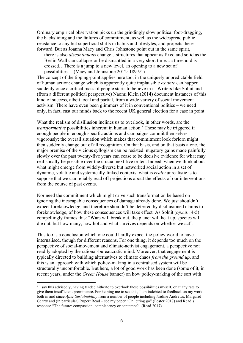Ordinary empirical observation picks up the grindingly slow political foot-dragging, the backsliding and the failures of commitment, as well as the widespread public resistance to any but superficial shifts in habits and lifestyles, and projects these forward. But as Joanna Macy and Chris Johnstone point out in the same spirit,

there is also *discontinuous* change…structures that appear as fixed and solid as the Berlin Wall can collapse or be dismantled in a very short time…a threshold is crossed…There is a jump to a new level, an opening to a new set of possibilities… (Macy and Johnstone 2012: 189-91)

The concept of the tipping-point applies here too, in the uniquely unpredictable field of human action: change which is apparently quite implausible *ex ante* can happen suddenly once a critical mass of people starts to believe in it. Writers like Solnit and (from a different political perspective) Naomi Klein (2014) document instances of this kind of success, albeit local and partial, from a wide variety of social movement activism. There have even been glimmers of it in conventional politics – we need only, in fact, cast our minds back to the recent UK general election for a case in point.

What the realism of disillusion inclines us to overlook, in other words, are the *transformative* possibilities inherent in human action.<sup>7</sup> These may be triggered if enough people in enough specific actions and campaigns commit themselves vigorously; the overall situation which makes that commitment look forlorn might then suddenly change out of all recognition. On that basis, and on that basis alone, the major premise of the vicious syllogism can be resisted: nugatory gains made painfully slowly over the past twenty-five years can cease to be decisive evidence for what may realistically be possible over the crucial next five or ten. Indeed, when we think about what might emerge from widely-diverse but networked social action in a set of dynamic, volatile and systemically-linked contexts, what is *really* unrealistic is to suppose that we can reliably read off projections about the effects of our interventions from the course of past events.

Nor need the commitment which might drive such transformation be based on ignoring the inescapable consequences of damage already done. We just shouldn't expect foreknowledge, and therefore shouldn't be deterred by disillusioned claims to foreknowledge, of how these consequences will take effect. As Solnit (*op.cit*.: 4-5) compellingly frames this: "Wars will break out, the planet will heat up, species will die out, but how many, how hot and what survives depends on whether we act".

This too is a conclusion which one could hardly expect the policy world to have internalised, though for different reasons. For one thing, it depends too much on the perspective of social-movement and climate-activist engagement, a perspective not readily adopted by the rational-bureaucratic mind. Moreover, that engagement is typically directed to building alternatives to climate chaos *from the ground up*, and this is an approach with which policy-making in a centralised system will be structurally uncomfortable. But here, a lot of good work has been done (some of it, in recent years, under the *Green House* banner) on how policy-making of the sort with

 $<sup>7</sup>$  I say this advisedly, having tended hitherto to overlook these possibilities myself, or at any rate to</sup> give them insufficient prominence. For helping me to see this, I am indebted to feedback on my work both in and since *After Sustainability* from a number of people including Nadine Andrews, Margaret Gearty and (in particular) Rupert Read – see my paper "On letting go" (Foster 2017) and Read's response "The future: compassion, complacency or contempt?" (Read 2017).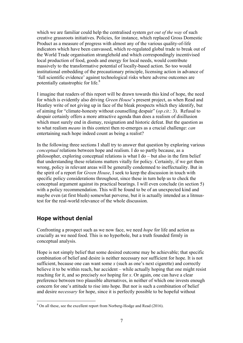which we are familiar could help the centralised system *get out of the way* of such creative grassroots initiatives. Policies, for instance, which replaced Gross Domestic Product as a measure of progress with almost any of the various quality-of-life indicators which have been canvassed, which re-regulated global trade to break out of the World Trade organisation stranglehold and which correspondingly incentivised local production of food, goods and energy for local needs, would contribute massively to the transformative potential of locally-based action. So too would institutional embedding of the precautionary principle, licensing action in advance of 'full scientific evidence' against technological risks where adverse outcomes are potentially catastrophic for life.8

I imagine that readers of this report will be drawn towards this kind of hope, the need for which is evidently also driving *Green House*'s present project, as when Read and Heatley write of not giving up in face of the bleak prospects which they identify, but of aiming for "climate-honesty without counselling despair" (*op.cit*.: 3). Refusal to despair certainly offers a more attractive agenda than does a realism of disillusion which must surely end in dismay, resignation and historic defeat. But the question as to what realism *means* in this context then re-emerges as a crucial challenge: *can* entertaining such hope indeed count as being a realist?

In the following three sections I shall try to answer that question by exploring various *conceptual* relations between hope and realism. I do so partly because, as a philosopher, exploring conceptual relations is what I do – but also in the firm belief that understanding these relations matters vitally for policy. Certainly, if we get them wrong, policy in relevant areas will be generally condemned to ineffectuality. But in the spirit of a report for *Green House*, I seek to keep the discussion in touch with specific policy considerations throughout, since these in turn help us to check the conceptual argument against its practical bearings. I will even conclude (in section 5) with a policy recommendation. This will be found to be of an unexpected kind and maybe even (at first blush) somewhat perverse, but it is actually intended as a litmustest for the real-world relevance of the whole discussion.

### **Hope without denial**

Confronting a prospect such as we now face, we need *hope* for life and action as crucially as we need food. This is no hyperbole, but a truth founded firmly in conceptual analysis.

Hope is not simply belief that some desired outcome may be achievable; that specific combination of belief and desire is neither necessary nor sufficient for hope. It is not sufficient, because one can want some *x* (such as one's next cigarette) and correctly believe it to be within reach, bar accident – while actually hoping that one might resist reaching for it, and so precisely *not* hoping for *x*. Or again, one can have a clear preference between two plausible alternatives, in neither of which one invests enough concern for one's attitude to rise into hope. But nor is such a combination of belief and desire *necessary* for hope, since it is perfectly possible to be hopeful without

 <sup>8</sup> On all these, see the excellent report from Norberg-Hodge and Read (2016).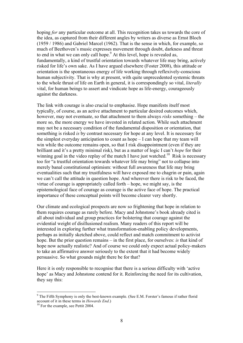hoping *for* any particular outcome at all. This recognition takes us towards the core of the idea, as captured from their different angles by writers as diverse as Ernst Bloch (1959 / 1986) and Gabriel Marcel (1962). That is the sense in which, for example, so much of Beethoven's music expresses movement through doubt, darkness and threat to end in what we can only call hope.<sup>9</sup> At this level, hope is revealed as, fundamentally, a kind of trustful orientation towards whatever life may bring, actively risked for life's own sake. As I have argued elsewhere (Foster 2008), this attitude or orientation is the spontaneous energy of life working through reflexively-conscious human subjectivity. That is why at present, with quite unprecedented systemic threats to the whole thrust of life on Earth in general, it is correspondingly so vital, *literally* vital, for human beings to assert and vindicate hope as life-energy, courageously against the darkness.

The link with courage is also crucial to emphasise. Hope manifests itself most typically, of course, as an active attachment to particular desired outcomes which, however, may not eventuate, so that attachment to them always *risks* something – the more so, the more energy we have invested in related action. While such attachment may not be a necessary condition of the fundamental disposition or orientation, that something is risked *is* by contrast necessary for hope at any level. It is necessary for the simplest everyday anticipation to count as hope – I can hope that my team will win while the outcome remains open, so that I risk disappointment (even if they are brilliant and it's a pretty minimal risk), but as a matter of logic I can't *hope* for their winning goal in the video replay of the match I have just watched.<sup>10</sup> Risk is necessary too for "a trustful orientation towards whatever life may bring" not to collapse into merely banal constitutional optimism: without full awareness that life may bring eventualities such that my trustfulness will have exposed me to chagrin or pain, again we can't call the attitude in question hope. And wherever there is risk to be faced, the virtue of courage is appropriately called forth – hope, we might say, is the epistemological face of courage as courage is the active face of hope. The practical importance of these conceptual points will become clearer very shortly.

Our climate and ecological prospects are now so frightening that hope in relation to them requires courage as rarely before. Macy and Johnstone's book already cited is all about individual and group practices for bolstering that courage against the evidential weight of disillusioned realism. Many readers of this report will be interested in exploring further what transformation-enabling policy developments, perhaps as initially sketched above, could reflect and match commitment to activist hope. But the prior question remains – in the first place, for ourselves: *is* that kind of hope now actually realistic? And of course we could only expect actual policy-makers to take an affirmative answer seriously to the extent that it had become widely persuasive. So what grounds might there be for that?

Here it is only responsible to recognise that there is a serious difficulty with 'active hope' as Macy and Johnstone contend for it. Reinforcing the need for its cultivation, they say this:

<sup>&</sup>lt;sup>9</sup> The Fifth Symphony is only the best-known example. (See E.M. Forster's famous if rather florid account of it in these terms in *Howards End*.)<br><sup>10</sup> For the example, see Pettit 2004.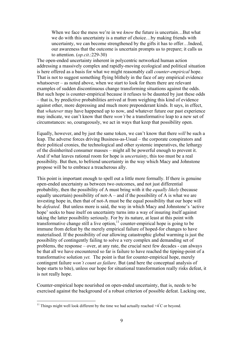When we face the mess we're in we *know* the future is uncertain…But what we do with this uncertainty is a matter of choice…by making friends with uncertainty, we can become strengthened by the gifts it has to offer…Indeed, our awareness that the outcome is uncertain prompts us to prepare; it calls us to attention. (*op.cit*.:229-30)

The open-ended uncertainty inherent in polycentric networked human action addressing a massively complex and rapidly-moving ecological and political situation is here offered as a basis for what we might reasonably call *counter-empirical* hope. That is not to suggest something flying blithely in the face of any empirical evidence whatsoever – as noted above, when we start to look for them there are relevant examples of sudden discontinuous change transforming situations against the odds. But such hope is counter-empirical because it refuses to be daunted by just these odds – that is, by predictive probabilities arrived at from weighing this kind of evidence against other, more depressing and much more preponderant kinds. It says, in effect, that *whatever* may have happened up to now, and whatever future our past experience may indicate, we can't know that there *won't* be a transformative leap to a new set of circumstances: so, courageously, we act in ways that keep that possibility open.

Equally, however, and by just the same token, we can't know that there *will* be such a leap. The adverse forces driving Business-as-Usual – the corporate conspirators and their political cronies, the technological and other systemic imperatives, the lethargy of the disinherited consumer masses – might all be powerful enough to prevent it. And if what leaves rational room for hope is *uncertainty*, this too must be a real possibility. But then, to befriend uncertainty in the way which Macy and Johnstone propose will be to embrace a treacherous ally.

This point is important enough to spell out a little more formally. If there is genuine open-ended uncertainty as between two outcomes, and not just differential probability, then the possibility of A must bring with it the *equally likely* (because equally uncertain) possibility of not- $A$  – and if the possibility of A is what we are investing hope in, then that of not-A must be the equal possibility that our hope will be *defeated*. But unless more is said, the way in which Macy and Johnstone's 'active hope' seeks to base itself on uncertainty turns into a way of insuring itself against taking the latter possibility seriously. For by its nature, at least at this point with transformative change still a live option, $11$  counter-empirical hope is going to be immune from defeat by the merely empirical failure of hoped-for changes to have materialised. If the possibility of our allowing catastrophic global warming is just the possibility of contingently failing to solve a very complex and demanding set of problems, the response – over, at any rate, the crucial next few decades - can always be that all we have encountered so far is failure to have reached the tipping-point of a transformative solution *yet.* The point is that for counter-empirical hope, merely contingent failure *won't count as failure*. But (and here the conceptual analysis of hope starts to bite), unless our hope for situational transformation really risks defeat, it is not really hope.

Counter-empirical hope nourished on open-ended uncertainty, that is, needs to be exercised against the background of a robust criterion of possible defeat. Lacking one,

<sup>&</sup>lt;sup>11</sup> Things might well look different by the time we had actually reached  $+4^{\circ}$ C or beyond.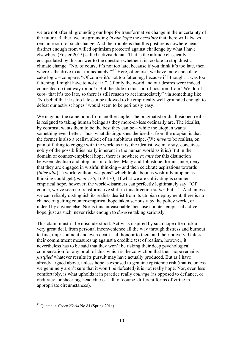we are not after all grounding our hope for transformative change in the uncertainty of the future. Rather, we are grounding *in our hope* the *certainty* that there will always remain room for such change. And the trouble is that this posture is nowhere near distinct enough from willed optimism protected against challenge by what I have elsewhere (Foster 2015) called activist denial. That is the attitude classically encapsulated by this answer to the question whether it is too late to stop drastic climate change: "No, of course it's not too late, because if you think it's too late, then where's the drive to act immediately?"<sup>12</sup> Here, of course, we have mere chocolatecake logic – compare: "Of course it's not too fattening, because if I thought it was too fattening, I might have to not eat it". (If only the world and our desires were indeed connected up that way round!) But the slide to this sort of position, from "We don't *know* that it's too late, so there is still reason to act immediately" via something like "No belief that it is too late can be allowed to be empirically well-grounded enough to defeat our activist hopes" would seem to be perilously easy.

We may put the same point from another angle. The pragmatist or disillusioned realist is resigned to taking human beings as they more-or-less ordinarily are. The idealist, by contrast, wants them to be the best they can be – while the utopian wants something even better. Thus, what distinguishes the idealist from the utopian is that the former is also a realist, albeit of an ambitious stripe. (We *have* to be realists, on pain of failing to engage with the world as it is; the idealist, we may say, conceives nobly of the possibilities really inherent in the human world as it is.) But in the domain of counter-empirical hope, there is nowhere *ex ante* for this distinction between idealism and utopianism to lodge. Macy and Johnstone, for instance, deny that they are engaged in wishful thinking – and then celebrate aspirations towards (*inter alia*) "a world without weapons" which look about as wishfully utopian as thinking could get (*op.cit*.: 35, 169-170). If what we are cultivating is counterempirical hope, however, the world-disarmers can perfectly legitimately say: "Of course, we've seen no transformative shift in this direction *so far*: but…". And unless we can reliably distinguish its realist-idealist from its utopian deployment, there is no chance of getting counter-empirical hope taken seriously by the policy world, or indeed by anyone else. Nor is this unreasonable, because counter-empirical active hope, just as such, never risks enough to *deserve* taking seriously.

This claim mustn't be misunderstood. Activists inspired by such hope often risk a very great deal, from personal inconvenience all the way through distress and burnout to fine, imprisonment and even death – all honour to them and their bravery. Unless their commitment measures up against a credible test of realism, however, it nevertheless has to be said that they won't be risking their deep psychological compensation for any or all of this, which is the conviction that their hope remains *justified* whatever results its pursuit may have actually produced. But as I have already argued above, unless hope is exposed to genuine epistemic risk (that is, unless we genuinely aren't sure that it won't be defeated) it is not really hope. Nor, even less comfortably, is what upholds it in practice really *courage* (as opposed to defiance, or obduracy, or sheer pig-headedness – all, of course, different forms of virtue in appropriate circumstances).

 <sup>12</sup> Quoted in *Green World* No.84 (Spring 2014)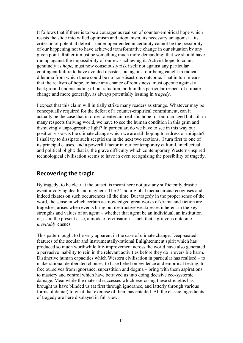It follows that if there is to be a courageous realism of counter-empirical hope which resists the slide into willed optimism and utopianism, its necessary antagonist – its criterion of potential defeat – under open-ended uncertainty cannot be the possibility of our happening not to have achieved transformative change in our situation by any given point. Rather it must be something much more demanding: that we should have run up against the impossibility of our *ever* achieving it. Activist hope, to count genuinely as *hope,* must now consciously risk itself not against any particular contingent failure to have avoided disaster, but against our being caught in radical dilemma from which there could be no non-disastrous outcome. That in turn means that the realism of hope, to have any chance of robustness, must operate against a background understanding of our situation, both in this particular respect of climate change and more generally, as always potentially issuing in *tragedy*.

I expect that this claim will initially strike many readers as strange. Whatever may be conceptually required for the defeat of a counter-empirical commitment, can it actually be the case that in order to entertain realistic hope for our damaged but still in many respects thriving world, we have to see the human condition in this grim and dismayingly unprogressive light? In particular, do we have to see in this way our position vis-à-vis the climate change which we are still hoping to redress or mitigate? I shall try to dissipate such scepticism in the next two sections. I turn first to one of its principal causes, and a powerful factor in our contemporary cultural, intellectual and political plight: that is, the grave difficulty which contemporary Western-inspired technological civilisation seems to have in even recognising the possibility of tragedy.

#### **Recovering the tragic**

By tragedy, to be clear at the outset, is meant here not just any sufficiently drastic event involving death and mayhem. The 24-hour global media circus recognises and indeed fixates on such occurrences all the time. But tragedy in the proper sense of the word, the sense in which certain acknowledged great works of drama and fiction are tragedies, arises when events bring out destructive weaknesses inherent in the key strengths and values of an agent – whether that agent be an individual, an institution or, as in the present case, a mode of civilisation – such that a grievous outcome *inevitably* ensues.

This pattern ought to be very apparent in the case of climate change. Deep-seated features of the secular and instrumentally-rational Enlightenment spirit which has produced so much worthwhile life-improvement across the world have also generated a pervasive inability to rein in the relevant activities before they do irreversible harm. Distinctive human capacities which Western civilisation in particular has realised – to make rational deliberated choices, to base belief on evidence and empirical testing, to free ourselves from ignorance, superstition and dogma – bring with them aspirations to mastery and control which have betrayed us into doing decisive eco-systemic damage. Meanwhile the material successes which exercising these strengths has brought us have blinded us (at first through ignorance, and latterly through various forms of denial) to what that exercise of them has entailed. All the classic ingredients of tragedy are here displayed in full view.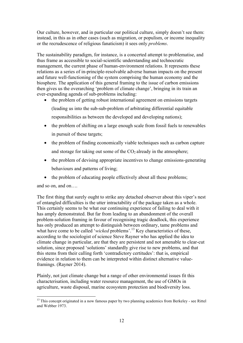Our culture, however, and in particular our political culture, simply doesn't see them: instead, in this as in other cases (such as migration, or populism, or income inequality or the recrudescence of religious fanaticism) it sees only *problems*.

The sustainability paradigm, for instance, is a concerted attempt to problematise, and thus frame as accessible to social-scientific understanding and technocratic management, the current phase of human-environment relations. It represents these relations as a series of in-principle-resolvable adverse human impacts on the present and future well-functioning of the system comprising the human economy and the biosphere. The application of this general framing to the issue of carbon emissions then gives us the overarching 'problem of climate change', bringing in its train an ever-expanding agenda of sub-problems including:

- the problem of getting robust international agreement on emissions targets (leading us into the sub-sub-problem of arbitrating differential equitable responsibilities as between the developed and developing nations);
- the problem of shifting on a large enough scale from fossil fuels to renewables in pursuit of these targets;
- the problem of finding economically viable techniques such as carbon capture and storage for taking out some of the  $CO<sub>2</sub>$  already in the atmosphere;
- the problem of devising appropriate incentives to change emissions-generating behaviours and patterns of living;
- the problem of educating people effectively about all these problems;

and so on, and on….

The first thing that surely ought to strike any detached observer about this viper's nest of entangled difficulties is the utter intractability of the package taken as a whole. This certainly seems to be what our continuing experience of failing to deal with it has amply demonstrated. But far from leading to an abandonment of the overall problem-solution framing in favour of recognising tragic deadlock, this experience has only produced an attempt to distinguish between ordinary, tame problems and what have come to be called '*wicked* problems'.<sup>13</sup> Key characteristics of these, according to the sociologist of science Steve Rayner who has applied the idea to climate change in particular, are that they are persistent and not amenable to clear-cut solution, since proposed 'solutions' standardly give rise to new problems, and that this stems from their calling forth 'contradictory certitudes': that is, empirical evidence in relation to them can be interpreted within distinct alternative valueframings. (Rayner 2014).

Plainly, not just climate change but a range of other environmental issues fit this characterisation, including water resource management, the use of GMOs in agriculture, waste disposal, marine ecosystem protection and biodiversity loss.

<sup>&</sup>lt;sup>13</sup> This concept originated in a now famous paper by two planning academics from Berkeley - see Rittel and Webber 1973.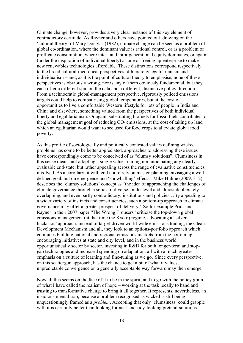Climate change, however, provides a very clear instance of this key element of contradictory certitude. As Rayner and others have pointed out, drawing on the 'cultural theory' of Mary Douglas (1982), climate change can be seen as a problem of global co-ordination, where the dominant value is rational control, or as a problem of profligate consumption, where inter- and intra-generational equity dominates, or again (under the inspiration of individual liberty) as one of freeing up enterprise to make new renewables technologies affordable. These distinctions correspond respectively to the broad cultural-theoretical perspectives of hierarchy, egalitarianism and individualism – and, as it is the point of cultural theory to emphasise, none of these perspectives is obviously wrong, nor is any of them obviously fundamental, but they each offer a different spin on the data and a different, distinctive policy direction. From a technocratic global-management perspective, rigorously policed emissions targets could help to combat rising global temperatures, but at the cost of opportunities to live a comfortable Western lifestyle for lots of people in India and China and elsewhere, something valued from the perspectives of both individual liberty and egalitarianism. Or again, substituting biofuels for fossil fuels contributes to the global management goal of reducing  $CO<sub>2</sub>$  emissions, at the cost of taking up land which an egalitarian would want to see used for food crops to alleviate global food poverty.

As this profile of sociologically and politically contested values defining wicked problems has come to be better appreciated, approaches to addressing these issues have correspondingly come to be conceived of as "clumsy solutions". Clumsiness in this sense means not adopting a single value-framing nor anticipating any clearlyevaluable end-state, but rather appealing across the range of evaluative constituencies involved. As a corollary, it will tend not to rely on master-planning envisaging a welldefined goal, but on emergence and 'snowballing' effects. Mike Hulme (2009: 312) describes the 'clumsy solutions' concept as "the idea of approaching the challenges of climate governance through a series of diverse, multi-level and almost deliberately overlapping, and even partly contradictory, institutions and policies…By appealing to a wider variety of instincts and constituencies, such a bottom-up approach to climate governance may offer a greater prospect of delivery". So for example Prins and Rayner in their 2007 paper "The Wrong Trousers" criticise the top-down global emissions-management (at that time the Kyoto) regime, advocating a "silver buckshot" approach: instead of target-driven world-wide emissions trading, the Clean Development Mechanism and all, they look to an options-portfolio approach which combines building national and regional emissions markets from the bottom up, encouraging initiatives at state and city level, and in the business world opportunistically sector by sector, investing in R&D for both longer-term and stopgap technologies and increased spending on adaptation, all with a much greater emphasis on a culture of learning and fine-tuning as we go. Since every perspective, on this scattergun approach, has the chance to get a bit of what it values, unpredictable convergence on a generally acceptable way forward may then emerge.

Now all this seems on the face of it to be in the spirit, and to go with the policy grain, of what I have called the realism of hope – working at the task locally to hand and trusting to transformative change to bring it all together. It represents, nevertheless, an insidious mental trap, because a problem recognised as wicked is still being unquestioningly framed as a *problem*. Accepting that only 'clumsiness' could grapple with it is certainly better than looking for neat-and-tidy-looking pretend-solutions –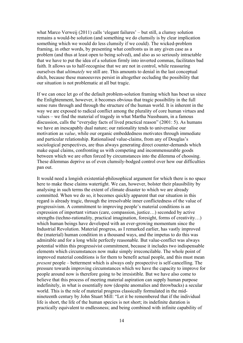what Marco Verweij (2011) calls 'elegant failures' – but still, a clumsy solution remains a would-be solution (and something we do clumsily is by clear implication something which we would do less clumsily if we could). The wicked-problem framing, in other words, by presenting what confronts us in any given case as a problem (and thus at least open to being solved), and also as so seriously intractable that we have to put the idea of a solution firmly into inverted commas, facilitates bad faith. It allows us to half-recognise that we are not in control, while reassuring ourselves that *ultimately* we still are. This amounts to denial in the last conceptual ditch, because these manoeuvres persist in altogether occluding the possibility that our situation is not problematic at all but tragic.

If we can once let go of the default problem-solution framing which has beset us since the Enlightenment, however, it becomes obvious that tragic possibility in the full sense runs through and through the structure of the human world. It is inherent in the way we are exposed to radical conflict among the plurality of core human virtues and values – we find the material of tragedy in what Martha Nussbaum, in a famous discussion, calls the "everyday facts of lived practical reason" (2001: 5). As humans we have an inescapably dual nature; our rationality tends to universalise our motivation as *value*, while our organic embeddedness motivates through immediate and particular relationship. Rationalised value-claims, from any of Douglas's sociological perspectives, are thus always generating direct counter-demands which make equal claims, confronting us with competing and incommensurable goods between which we are often forced by circumstances into the dilemma of choosing. These dilemmas deprive us of even clumsily-bodged control over how our difficulties pan out.

It would need a longish existential-philosophical argument for which there is no space here to make these claims watertight. We can, however, bolster their plausibility by analysing in such terms the extent of climate disaster to which we are already committed. When we do so, it becomes quickly apparent that our situation in this regard is already tragic, through the irresolvable inner conflictedness of the value of progressivism. A commitment to improving people's material conditions is an expression of important virtues (care, compassion, justice…) seconded by active strengths (techno-rationality, practical imagination, foresight, forms of creativity…) which human beings have developed with an ever-growing momentum since the Industrial Revolution. Material progress, as I remarked earlier, has vastly improved the (material) human condition in a thousand ways, and the impetus to do this was admirable and for a long while perfectly reasonable. But value-conflict was always potential within this progressivist commitment, because it includes two indispensable elements which circumstances now make simply irreconcilable. The whole point of improved material conditions is for them to benefit actual people, and this must mean *present* people – betterment which is always only prospective is self-cancelling. The pressure towards improving circumstances which we have the capacity to improve for people around now is therefore going to be irresistible. But we have also come to believe that this process of meeting material aspiration can supply human purpose indefinitely, in what is essentially now (despite anomalies and throwbacks) a secular world. This is the role of material progress classically formulated in the midnineteenth century by John Stuart Mill: "Let it be remembered that if the individual life is short, the life of the human species is not short; its indefinite duration is practically equivalent to endlessness; and being combined with infinite capability of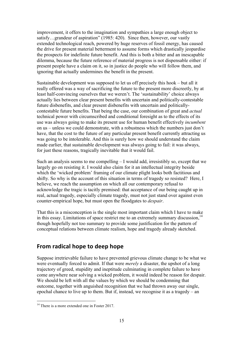improvement, it offers to the imagination and sympathies a large enough object to satisfy...grandeur of aspiration" (1985: 420). Since then, however, our vastly extended technological reach, powered by huge reserves of fossil energy, has caused the drive for present material betterment to assume forms which drastically jeopardise the prospects for indefinite future benefit. And this is both a bitter and an inescapable dilemma, because the future reference of material progress is not dispensable either: if present people have a claim on it, so in justice do people who will follow them, and ignoring that actually undermines the benefit in the present.

Sustainable development was supposed to let us off precisely this hook – but all it really offered was a way of sacrificing the future to the present more discreetly, by at least half-convincing ourselves that we weren't. The 'sustainability' choice always actually lies between clear present benefits with uncertain and politically-contestable future disbenefits, and clear present disbenefits with uncertain and politicallycontestable future benefits. That being the case, our combination of great and *actual* technical power with circumscribed and conditional foresight as to the effects of its use was always going to make its present use for human benefit effectively *incumbent* on us – unless we could demonstrate, with a robustness which the numbers just don't have, that the cost to the future of any particular present benefit currently attracting us was going to be intolerable. And this is surely how we should understand the claim made earlier, that sustainable development was always going to fail: it was always, for just these reasons, tragically inevitable that it would fail.

Such an analysis seems to me compelling – I would add, irresistibly so, except that we largely go on resisting it. I would also claim for it an intellectual integrity beside which the 'wicked problem' framing of our climate plight looks both factitious and shifty. So why is the account of this situation in terms of tragedy so resisted? Here, I believe, we reach the assumption on which all our contemporary refusal to acknowledge the tragic is tacitly premised: that acceptance of our being caught up in real, actual tragedy, especially climate tragedy, must not just stand over against even counter-empirical hope, but must open the floodgates to *despair*.

That this is a misconception is the single most important claim which I have to make in this essay. Limitations of space restrict me to an extremely summary discussion.<sup>14</sup> though hopefully not too summary to provide some justification for the pattern of conceptual relations between climate realism, hope and tragedy already sketched.

## **From radical hope to deep hope**

Suppose irretrievable failure to have prevented grievous climate change to be what we were eventually forced to admit. If that were *merely* a disaster, the upshot of a long trajectory of greed, stupidity and ineptitude culminating in complete failure to have come anywhere near solving a wicked problem, it would indeed be reason for despair. We should be left with all the values by which we should be condemning that outcome, together with anguished recognition that we had thrown away our single, epochal chance to live up to them. But if, instead, we recognise it as a tragedy – an

 $14$  There is a more extended one in Foster 2017.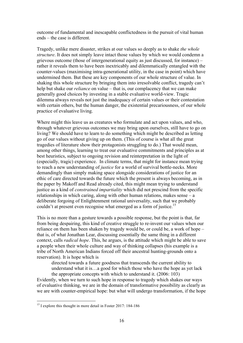outcome of fundamental and inescapable conflictedness in the pursuit of vital human ends – the case is different.

Tragedy, unlike mere disaster, strikes at our values so deeply as to shake *the whole structure*. It does not simply leave intact those values by which we would condemn a grievous outcome (those of intergenerational equity as just discussed, for instance) – rather it reveals them to have been inextricably and dilemmatically entangled with the counter-values (maximising intra-generational utility, in the case in point) which have undermined them. But these are key components of our whole structure of value. In shaking this whole structure by bringing them into irresolvable conflict, tragedy can't help but shake our *reliance* on value – that is, our complacency that we can make generally good choices by investing in a stable evaluative world-view. Tragic dilemma always reveals not just the inadequacy of certain values or their contestation with certain others, but the human danger, the existential precariousness, of our whole practice of evaluative living.

Where might this leave us as creatures who formulate and act upon values, and who, through whatever grievous outcomes we may bring upon ourselves, still have to go on living? We should have to learn to do something which might be described as letting go of our values without giving up on them. (This of course is what all the great tragedies of literature show their protagonists struggling to do.) That would mean, among other things, learning to treat our evaluative commitments and principles as at best heuristics, subject to ongoing revision and reinterpretation in the light of (especially, tragic) experience. In climate terms, that might for instance mean trying to reach a new understanding of *justice* for a world of survival bottle-necks. More demandingly than simply making space alongside considerations of justice for an ethic of care directed towards the future which the present is always becoming, as in the paper by Makoff and Read already cited, this might mean trying to understand justice as a kind of *constrained impartiality* which did not prescind from the specific relationships in which caring, along with other human relations, makes sense – a deliberate forgoing of Enlightenment rational universality, such that we probably couldn't at present even recognise what emerged as a form of justice.<sup>15</sup>

This is no more than a gesture towards a possible response, but the point is that, far from being despairing, this kind of creative struggle to re-invent our values when our reliance on them has been shaken by tragedy would be, or could be, a work of hope – that is, of what Jonathan Lear, discussing essentially the same thing in a different context, calls *radical hope*. This, he argues, is the attitude which might be able to save a people when their whole culture and way of thinking collapses (his example is a tribe of North American Indians forced off their ancestral hunting-grounds onto a reservation). It is hope which is

directed towards a future goodness that transcends the current ability to understand what it is…a good for which those who have the hope as yet lack the appropriate concepts with which to understand it. (2006: 103)

Evidently, when we turn to such hope in response to tragedy which shakes our ways of evaluative thinking, we are in the domain of transformative possibility as clearly as we are with counter-empirical hope: but what will undergo transformation, if the hope

<sup>&</sup>lt;sup>15</sup> I explore this thought in more detail in Foster 2017: 184-186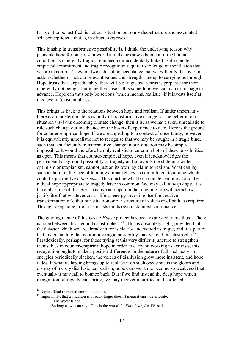turns out to be justified, is not our situation but our value-structure and associated self-conceptions – that is, in effect, *ourselves*.

This kinship in transformative possibility is, I think, the underlying reason why plausible hope for our present world and the acknowledgement of the human condition as inherently tragic are indeed non-accidentally linked. Both counterempirical commitment and tragic recognition require us to let go of the illusion that we are in control. They are two sides of an acceptance that we will only discover in action whether or not our relevant values and strengths are up to carrying us through. Hope trusts that, unpredictably, they will be; tragic awareness is prepared for their inherently not being – but in neither case is this something we can plan or manage in advance. Hope can thus only be serious (which means, realistic) if it invests itself at this level of existential risk.

This brings us back to the relations between hope and realism. If under uncertainty there is an indeterminate possibility of transformative change for the better in our situation vis-à-vis oncoming climate change, then it is, as we have seen, unrealistic to rule such change out in advance on the basis of experience to date. Here is the ground for counter-empirical hope. If we are appealing to a context of uncertainty, however, it is equivalently unrealistic not to recognise that we may be caught in a tragic bind, such that a sufficiently transformative change in our situation may be simply impossible. It would therefore be only realistic to entertain both of these possibilities as open. This means that counter-empirical hope, even if it acknowledges the permanent background possibility of tragedy and so avoids the slide into willed optimism or utopianism, cannot just on its own lay claim to realism. What can lay such a claim, in the face of looming climate chaos, is commitment to a hope which could be justified *in either case*. This must be what both counter-empirical and the radical hope appropriate to tragedy have in common. We may call it *deep hope*. It is the embarking of the spirit in active anticipation that ongoing life will somehow justify itself, at whatever cost – life as energy investing itself in creative transformation of either our situation or our structure of values or of both, as required. Through deep hope, life in us insists on its own undaunted continuance.

The guiding theme of this *Green House* project has been expressed to me thus: "There is hope between disaster and catastrophe".  $^{16}$  This is absolutely right, provided that the disaster which we are already in for is clearly understood as tragic, and it is part of that understanding that continuing tragic possibility may yet end in catastrophe.<sup>1</sup> Paradoxically, perhaps, for those trying at this very difficult juncture to strengthen themselves in counter-empirical hope in order to carry on working as activists, this recognition ought to make a positive difference. In the nature of all such activism, energies periodically slacken, the voices of disillusion grow more insistent, and hope fades. If what its lapsing brings up to replace it on such occasions is the gloom and dismay of merely disillusioned realism, hope can over time become so weakened that eventually it may fail to bounce back. But if we find instead the deep hope which recognition of tragedy can spring, we may recover a purified and hardened

<sup>&</sup>lt;sup>16</sup> Rupert Read (personal communication).<br><sup>17</sup> Importantly, that a situation is already tragic doesn't mean it can't deteriorate. "The worst is not

So long as we can say, 'This is the worst'." *King Lear*, Act IV, sc.i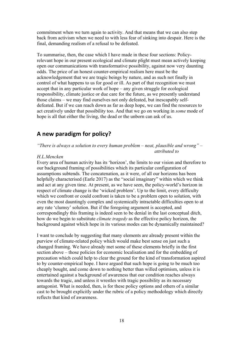commitment when we turn again to activity. And that means that we can also step back from activism when we need to with less fear of sinking into despair. Here is the final, demanding realism of a refusal to be defeated.

To summarise, then, the case which I have made in these four sections: Policyrelevant hope in our present ecological and climate plight must mean actively keeping open our communications with transformative possibility, against now very daunting odds. The price of an honest counter-empirical realism here must be the acknowledgement that we are tragic beings by nature, and as such not finally in control of what happens to us for good or ill. As part of that recognition we must accept that in any particular work of hope – any given struggle for ecological responsibility, climate justice or due care for the future, as we presently understand those claims – we may find ourselves not only defeated, but inescapably selfdefeated. But if we can reach down as far as deep hope, we can find the resources to act creatively under that possibility too. And that we go on working in *some* mode of hope is all that either the living, the dead or the unborn can ask of us.

#### **A new paradigm for policy?**

*"There is always a solution to every human problem – neat, plausible and wrong" – attributed to* 

#### *H.L.Mencken*

Every area of human activity has its 'horizon', the limits to our vision and therefore to our background framing of possibilities which its particular configuration of assumptions subtends. The concatenation, as it were, of all our horizons has been helpfully characterised (Earle 2017) as the "social imaginary" within which we think and act at any given time. At present, as we have seen, the policy-world's horizon in respect of climate change is the 'wicked problem'. Up to the limit, every difficulty which we confront or could confront is taken to be a problem open to solution, with even the most dauntingly complex and systemically intractable difficulties open to at any rate 'clumsy' solution. But if the foregoing argument is accepted, and correspondingly this framing is indeed seen to be denial in the last conceptual ditch, how do we begin to substitute *climate tragedy* as the effective policy horizon, the background against which hope in its various modes can be dynamically maintained?

I want to conclude by suggesting that many elements are already present within the purview of climate-related policy which would make best sense on just such a changed framing. We have already met some of these elements briefly in the first section above – those policies for economic localisation and for the embedding of precaution which could help to clear the ground for the kind of transformation aspired to by counter-empirical hope. I have argued that such hope is going to be much too cheaply bought, and come down to nothing better than willed optimism, unless it is entertained against a background of awareness that our condition reaches always towards the tragic, and unless it wrestles with tragic possibility as its necessary antagonist. What is needed, then, is for these policy options and others of a similar cast to be brought explicitly under the rubric of a policy methodology which directly reflects that kind of awareness.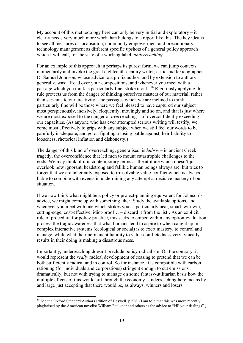My account of this methodology here can only be very initial and exploratory  $-$  it clearly needs very much more work than belongs to a report like this. The key idea is to see all measures of localisation, community empowerment and precautionary technology management as different specific upshots of a general policy approach which I will call, for the sake of a working label, *underreaching*.

For an example of this approach in perhaps its purest form, we can jump contexts momentarily and invoke the great eighteenth-century writer, critic and lexicographer Dr Samuel Johnson, whose advice to a prolix author, and by extension to authors generally, was: "Read over your compositions, and whenever you meet with a passage which you think is particularly fine, strike it out".<sup>18</sup> Rigorously applying this rule protects us from the danger of thinking ourselves masters of our material, rather than servants to our creativity. The passages which we are inclined to think particularly fine will be those where we feel pleased to have captured our subject most perspicuously, incisively, eloquently, movingly and so on, and that is just where we are most exposed to the danger of *over*reaching – of overconfidently exceeding our capacities. (As anyone who has ever attempted serious writing will testify, we come most effectively to grips with any subject when we still feel our words to be painfully inadequate, and go on fighting a losing battle against their liability to looseness, rhetorical inflation and dishonesty.)

The danger of this kind of overreaching, generalised, is *hubris* – in ancient Greek tragedy, the overconfidence that led men to mount catastrophic challenges to the gods. We may think of it in contemporary terms as the attitude which doesn't just overlook how ignorant, headstrong and fallible human beings always are, but tries to forget that we are inherently exposed to irresolvable value-conflict which is always liable to combine with events in undermining any attempt at decisive mastery of our situation.

If we now think what might be a policy or project-planning equivalent for Johnson's advice, we might come up with something like: 'Study the available options, and whenever you meet with one which strikes you as particularly neat, smart, win-win, cutting-edge, cost-effective, idiot-proof… – discard it from the list'. As an explicit rule of procedure for policy practice, this seeks to embed within any option-evaluation process the tragic awareness that what humans tend to aspire to when caught up in complex interactive systems (ecological or social) is to exert mastery, to control and manage, while what their permanent liability to value-conflictedness very typically results in their doing is making a disastrous mess.

Importantly, underreaching doesn't preclude policy radicalism. On the contrary, it would represent the *really* radical development of ceasing to pretend that we can be both sufficiently radical and in control. So for instance, it is compatible with carbon rationing (for individuals and corporations) stringent enough to cut emissions dramatically, but not with trying to manage on some fantasy-utilitarian basis how the multiple effects of this would sift through the economy. Underreaching here means by and large just accepting that there would be, as always, winners and losers.

<sup>&</sup>lt;sup>18</sup> See the Oxford Standard Authors edition of Boswell, p.528. (I am told that this was more recently plagiarised by the American novelist William Faulkner and others as the advice to "kill your darlings".)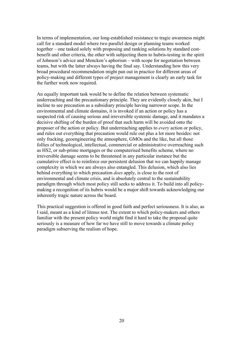In terms of implementation, our long-established resistance to tragic awareness might call for a standard model where two parallel design or planning teams worked together – one tasked solely with proposing and ranking solutions by standard costbenefit and other criteria, the other with subjecting them to hubris-testing in the spirit of Johnson's advice and Mencken's aphorism – with scope for negotiation between teams, but with the latter always having the final say. Understanding how this very broad procedural recommendation might pan out in practice for different areas of policy-making and different types of project management is clearly an early task for the further work now required.

An equally important task would be to define the relation between systematic underreaching and the precautionary principle. They are evidently closely akin, but I incline to see precaution as a subsidiary principle having narrower scope. In the environmental and climate domains, it is invoked if an action or policy has a suspected risk of causing serious and irreversible systemic damage, and it mandates a decisive shifting of the burden of proof that such harm will be avoided onto the proposer of the action or policy. But underreaching applies to *every* action or policy, and rules out everything that precaution would rule out plus a lot more besides: not only fracking, geoengineering the atmosphere, GMOs and the like, but all those follies of technological, intellectual, commercial or administrative overreaching such as HS2, or sub-prime mortgages or the computerised benefits scheme, where no irreversible damage seems to be threatened in any particular instance but the cumulative effect is to reinforce our persistent delusion that we can happily manage complexity in which we are always also entangled. This delusion, which also lies behind everything to which precaution *does* apply, is close to the root of environmental and climate crisis, and is absolutely central to the sustainability paradigm through which most policy still seeks to address it. To build into all policymaking a recognition of its hubris would be a major shift towards acknowledging our inherently tragic nature across the board.

This practical suggestion is offered in good faith and perfect seriousness. It is also, as I said, meant as a kind of litmus test. The extent to which policy-makers and others familiar with the present policy world might find it hard to take the proposal quite seriously is a measure of how far we have still to move towards a climate policy paradigm subserving the realism of hope.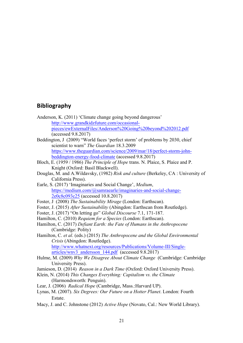#### **Bibliography**

- Anderson, K. (2011) 'Climate change going beyond dangerous' http://www.grandkidzfuture.com/occasionalpieces/ewExternalFiles/Anderson%20Going%20beyond%202012.pdf (accessed 9.8.2017)
- Beddington, J (2009) "World faces 'perfect storm' of problems by 2030, chief scientist to warn" *The Guardian* 18.3.2009 https://www.theguardian.com/science/2009/mar/18/perfect-storm-johnbeddington-energy-food-climate (accessed 9.8.2017)
- Bloch, E. (1959 / 1986) *The Principle of Hope* trans. N. Plaice, S. Plaice and P. Knight (Oxford: Basil Blackwell).
- Douglas, M. and A.Wildavsky, (1982) *Risk and culture* (Berkeley, CA : University of California Press).
- Earle, S. (2017) 'Imaginaries and Social Change', *Medium*, https://medium.com/@samraearle/imaginaries-and-social-change-2e0c8c093c25 (accessed 10.8.2017)
- Foster, J (2008) *The Sustainability Mirage* (London: Earthscan).
- Foster, J. (2015) *After Sustainability* (Abingdon: Earthscan from Routledge).
- Foster, J. (2017) "On letting go" *Global Discourse* 7.1, 171-187.
- Hamilton, C. (2010) *Requiem for a Species* (London: Earthscan).
- Hamilton, C. (2017) *Defiant Earth: the Fate of Humans in the Anthropocene*  (Cambridge: Polity)
- Hamilton, C. *et al*. (eds.) (2015) *The Anthropocene and the Global Environmental Crisis* (Abingdon: Routledge). http://www.whatnext.org/resources/Publications/Volume-III/Singlearticles/wnv3\_andersson\_144.pdf (accessed 9.8.2017)
- Hulme, M. (2009) *Why We Disagree About Climate Change* (Cambridge: Cambridge University Press).
- Jamieson, D. (2014) *Reason in a Dark Time* (Oxford: Oxford University Press).
- Klein, N. (2014) *This Changes Everything: Capitalism vs. the Climate* (Harmondsworth: Penguin).
- Lear, J. (2006) *Radical Hope* (Cambridge, Mass.:Harvard UP).
- Lynas, M. (2007). *Six Degrees: Our Future on a Hotter Planet*. London: Fourth Estate.
- Macy, J. and C. Johnstone (2012) *Active Hope* (Novato, Cal.: New World Library).